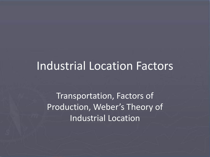#### Industrial Location Factors

Transportation, Factors of Production, Weber's Theory of Industrial Location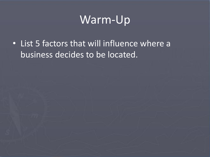### Warm-Up

• List 5 factors that will influence where a business decides to be located.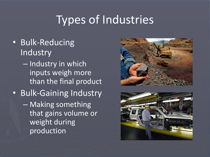# Types of Industries

- Bulk-Reducing **Industry** 
	- Industry in which inputs weigh more than the final product
- Bulk-Gaining Industry
	- Making something that gains volume or weight during production



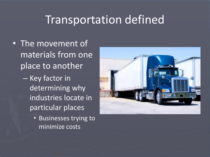#### Transportation defined

- The movement of materials from one place to another
	- Key factor in determining why industries locate in particular places
		- Businesses trying to minimize costs

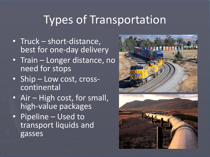# Types of Transportation

- Truck short-distance, best for one-day delivery
- Train Longer distance, no need for stops
- Ship Low cost, crosscontinental
- Air High cost, for small, high-value packages
- Pipeline Used to transport liquids and gasses



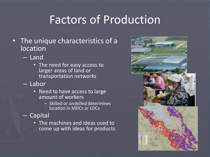# Factors of Production

- The unique characteristics of a location
	- Land
		- The need for easy access to larger areas of land or transportation networks
	- Labor
		- Need to have access to large amount of workers
			- Skilled or unskilled determines location in MDCs or LDCs
	- Capital
		- The machines and ideas used to come up with ideas for products

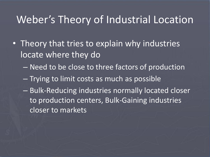#### Weber's Theory of Industrial Location

- Theory that tries to explain why industries locate where they do
	- Need to be close to three factors of production
	- Trying to limit costs as much as possible
	- Bulk-Reducing industries normally located closer to production centers, Bulk-Gaining industries closer to markets